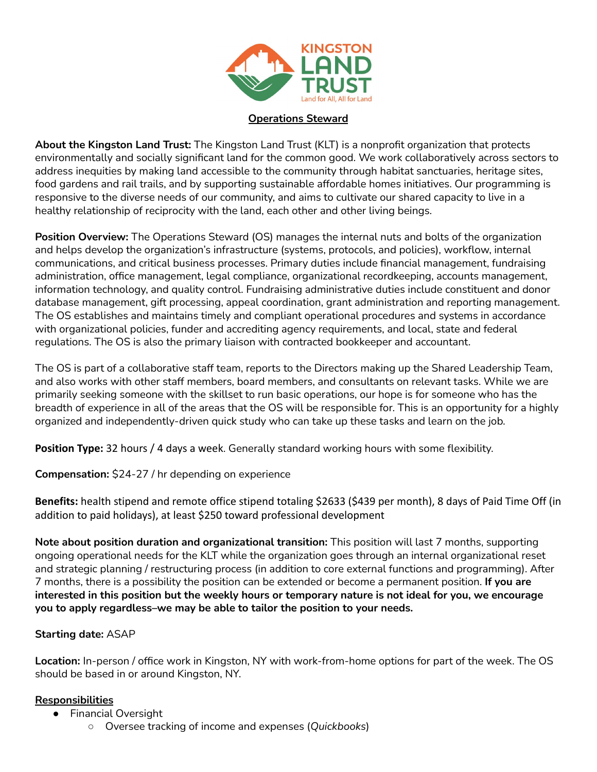

## **Operations Steward**

**About the Kingston Land Trust:** The Kingston Land Trust (KLT) is a nonprofit organization that protects environmentally and socially significant land for the common good. We work collaboratively across sectors to address inequities by making land accessible to the community through habitat sanctuaries, heritage sites, food gardens and rail trails, and by supporting sustainable affordable homes initiatives. Our programming is responsive to the diverse needs of our community, and aims to cultivate our shared capacity to live in a healthy relationship of reciprocity with the land, each other and other living beings.

**Position Overview:** The Operations Steward (OS) manages the internal nuts and bolts of the organization and helps develop the organization's infrastructure (systems, protocols, and policies), workflow, internal communications, and critical business processes. Primary duties include financial management, fundraising administration, office management, legal compliance, organizational recordkeeping, accounts management, information technology, and quality control. Fundraising administrative duties include constituent and donor database management, gift processing, appeal coordination, grant administration and reporting management. The OS establishes and maintains timely and compliant operational procedures and systems in accordance with organizational policies, funder and accrediting agency requirements, and local, state and federal regulations. The OS is also the primary liaison with contracted bookkeeper and accountant.

The OS is part of a collaborative staff team, reports to the Directors making up the Shared Leadership Team, and also works with other staff members, board members, and consultants on relevant tasks. While we are primarily seeking someone with the skillset to run basic operations, our hope is for someone who has the breadth of experience in all of the areas that the OS will be responsible for. This is an opportunity for a highly organized and independently-driven quick study who can take up these tasks and learn on the job.

**Position Type:** 32 hours / 4 days a week. Generally standard working hours with some flexibility.

**Compensation:** \$24-27 / hr depending on experience

**Benefits:** health stipend and remote office stipend totaling \$2633 (\$439 per month), 8 days of Paid Time Off (in addition to paid holidays), at least \$250 toward professional development

**Note about position duration and organizational transition:** This position will last 7 months, supporting ongoing operational needs for the KLT while the organization goes through an internal organizational reset and strategic planning / restructuring process (in addition to core external functions and programming). After 7 months, there is a possibility the position can be extended or become a permanent position. **If you are** interested in this position but the weekly hours or temporary nature is not ideal for you, we encourage **you to apply regardless–we may be able to tailor the position to your needs.**

## **Starting date:** ASAP

**Location:** In-person / office work in Kingston, NY with work-from-home options for part of the week. The OS should be based in or around Kingston, NY.

## **Responsibilities**

- Financial Oversight
	- Oversee tracking of income and expenses (*Quickbooks*)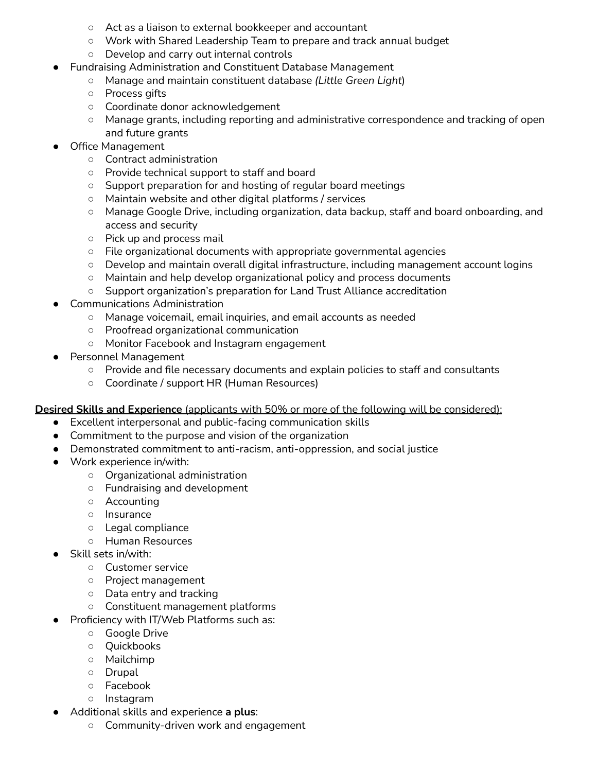- Act as a liaison to external bookkeeper and accountant
- Work with Shared Leadership Team to prepare and track annual budget
- Develop and carry out internal controls
- **Fundraising Administration and Constituent Database Management** 
	- Manage and maintain constituent database *(Little Green Light*)
	- Process gifts
	- Coordinate donor acknowledgement
	- Manage grants, including reporting and administrative correspondence and tracking of open and future grants
- Office Management
	- Contract administration
	- Provide technical support to staff and board
	- Support preparation for and hosting of regular board meetings
	- Maintain website and other digital platforms / services
	- Manage Google Drive, including organization, data backup, staff and board onboarding, and access and security
	- Pick up and process mail
	- File organizational documents with appropriate governmental agencies
	- Develop and maintain overall digital infrastructure, including management account logins
	- Maintain and help develop organizational policy and process documents
	- Support organization's preparation for Land Trust Alliance accreditation
- **Communications Administration** 
	- Manage voicemail, email inquiries, and email accounts as needed
	- Proofread organizational communication
	- Monitor Facebook and Instagram engagement
- Personnel Management
	- Provide and file necessary documents and explain policies to staff and consultants
	- Coordinate / support HR (Human Resources)

**Desired Skills and Experience** (applicants with 50% or more of the following will be considered):

- Excellent interpersonal and public-facing communication skills
- Commitment to the purpose and vision of the organization
- Demonstrated commitment to anti-racism, anti-oppression, and social justice
- Work experience in/with:
	- Organizational administration
	- Fundraising and development
	- Accounting
	- Insurance
	- Legal compliance
	- Human Resources
- Skill sets in/with:
	- Customer service
	- Project management
	- Data entry and tracking
	- Constituent management platforms
- Proficiency with IT/Web Platforms such as:
	- Google Drive
	- Quickbooks
	- Mailchimp
	- Drupal
	- Facebook
	- Instagram
- Additional skills and experience **a plus**:
	- Community-driven work and engagement